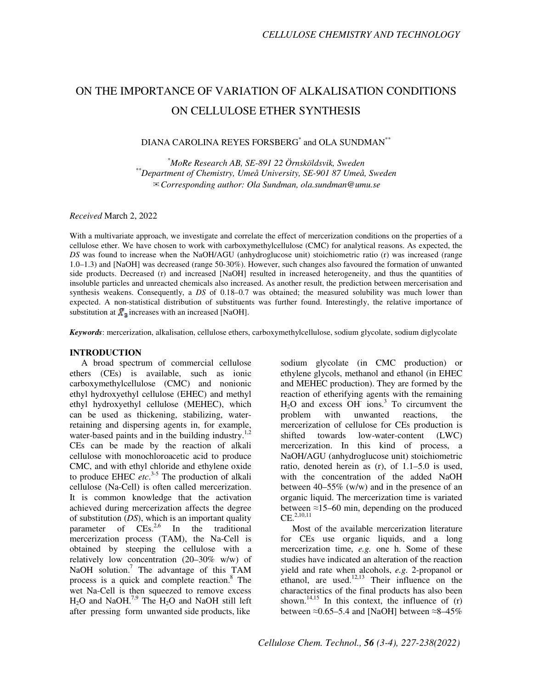# ON THE IMPORTANCE OF VARIATION OF ALKALISATION CONDITIONS ON CELLULOSE ETHER SYNTHESIS

# DIANA CAROLINA REYES FORSBERG<sup>\*</sup> and OLA SUNDMAN<sup>\*\*</sup>

*\*MoRe Research AB, SE-891 22 Örnsköldsvik, Sweden \*\*Department of Chemistry, Umeå University, SE-901 87 Umeå, Sweden*  ✉*Corresponding author: Ola Sundman, ola.sundman@umu.se* 

*Received* March 2, 2022

With a multivariate approach, we investigate and correlate the effect of mercerization conditions on the properties of a cellulose ether. We have chosen to work with carboxymethylcellulose (CMC) for analytical reasons. As expected, the *DS* was found to increase when the NaOH/AGU (anhydroglucose unit) stoichiometric ratio (r) was increased (range 1.0–1.3) and [NaOH] was decreased (range 50-30%). However, such changes also favoured the formation of unwanted side products. Decreased (r) and increased [NaOH] resulted in increased heterogeneity, and thus the quantities of insoluble particles and unreacted chemicals also increased. As another result, the prediction between mercerisation and synthesis weakens. Consequently, a *DS* of 0.18–0.7 was obtained; the measured solubility was much lower than expected. A non-statistical distribution of substituents was further found. Interestingly, the relative importance of substitution at  $\overline{X}_3$  increases with an increased [NaOH].

*Keywords*: mercerization, alkalisation, cellulose ethers, carboxymethylcellulose, sodium glycolate, sodium diglycolate

## **INTRODUCTION**

A broad spectrum of commercial cellulose ethers (CEs) is available, such as ionic carboxymethylcellulose (CMC) and nonionic ethyl hydroxyethyl cellulose (EHEC) and methyl ethyl hydroxyethyl cellulose (MEHEC), which can be used as thickening, stabilizing, waterretaining and dispersing agents in, for example, water-based paints and in the building industry. $1,2$ CEs can be made by the reaction of alkali cellulose with monochloroacetic acid to produce CMC, and with ethyl chloride and ethylene oxide to produce EHEC *etc*. 3-5 The production of alkali cellulose (Na-Cell) is often called mercerization. It is common knowledge that the activation achieved during mercerization affects the degree of substitution (*DS*), which is an important quality parameter of  $\text{CEs}^{2,6}$  In the traditional mercerization process (TAM), the Na-Cell is obtained by steeping the cellulose with a relatively low concentration (20–30% w/w) of NaOH solution.<sup>7</sup> The advantage of this TAM process is a quick and complete reaction.<sup>8</sup> The wet Na-Cell is then squeezed to remove excess  $H_2O$  and NaOH.<sup>7,9</sup> The  $H_2O$  and NaOH still left after pressing form unwanted side products, like

sodium glycolate (in CMC production) or ethylene glycols, methanol and ethanol (in EHEC and MEHEC production). They are formed by the reaction of etherifying agents with the remaining  $H<sub>2</sub>O$  and excess  $OH<sup>-</sup>$  ions.<sup>3</sup> To circumvent the problem with unwanted reactions, the mercerization of cellulose for CEs production is shifted towards low-water-content (LWC) mercerization. In this kind of process, a NaOH/AGU (anhydroglucose unit) stoichiometric ratio, denoted herein as (r), of 1.1–5.0 is used, with the concentration of the added NaOH between  $40-55\%$  (w/w) and in the presence of an organic liquid. The mercerization time is variated between  $\approx$ 15–60 min, depending on the produced  $CE.^{2,10,11}$ 

Most of the available mercerization literature for CEs use organic liquids, and a long mercerization time, *e.g.* one h. Some of these studies have indicated an alteration of the reaction yield and rate when alcohols, *e.g.* 2-propanol or ethanol, are used. $12,13$  Their influence on the characteristics of the final products has also been shown.<sup>14,15</sup> In this context, the influence of  $(r)$ between ≈0.65–5.4 and [NaOH] between ≈8–45%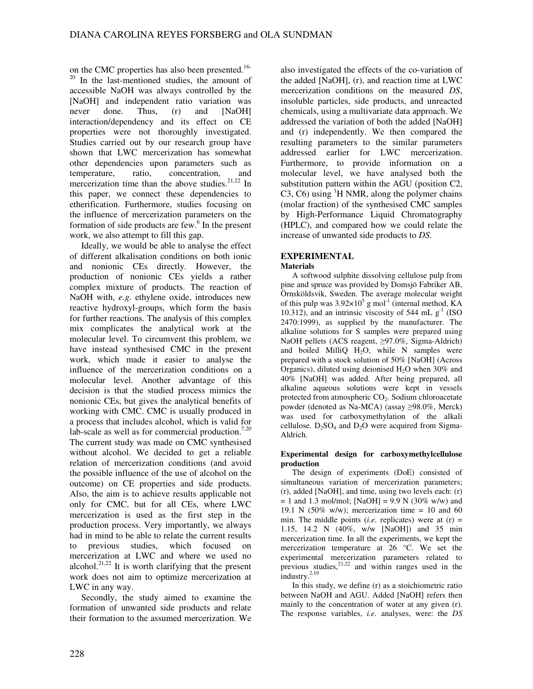on the CMC properties has also been presented.<sup>16-</sup> <sup>20</sup> In the last-mentioned studies, the amount of accessible NaOH was always controlled by the [NaOH] and independent ratio variation was never done. Thus, (r) and [NaOH] interaction/dependency and its effect on CE properties were not thoroughly investigated. Studies carried out by our research group have shown that LWC mercerization has somewhat other dependencies upon parameters such as temperature, ratio, concentration, and mercerization time than the above studies.<sup>21,22</sup> In this paper, we connect these dependencies to etherification. Furthermore, studies focusing on the influence of mercerization parameters on the formation of side products are few.<sup>6</sup> In the present work, we also attempt to fill this gap.

Ideally, we would be able to analyse the effect of different alkalisation conditions on both ionic and nonionic CEs directly. However, the production of nonionic CEs yields a rather complex mixture of products. The reaction of NaOH with, *e.g.* ethylene oxide, introduces new reactive hydroxyl-groups, which form the basis for further reactions. The analysis of this complex mix complicates the analytical work at the molecular level. To circumvent this problem, we have instead synthesised CMC in the present work, which made it easier to analyse the influence of the mercerization conditions on a molecular level. Another advantage of this decision is that the studied process mimics the nonionic CEs, but gives the analytical benefits of working with CMC. CMC is usually produced in a process that includes alcohol, which is valid for lab-scale as well as for commercial production.<sup>7,20</sup> The current study was made on CMC synthesised without alcohol. We decided to get a reliable relation of mercerization conditions (and avoid the possible influence of the use of alcohol on the outcome) on CE properties and side products. Also, the aim is to achieve results applicable not only for CMC, but for all CEs, where LWC mercerization is used as the first step in the production process. Very importantly, we always had in mind to be able to relate the current results to previous studies, which focused on mercerization at LWC and where we used no alcohol.<sup>21,22</sup> It is worth clarifying that the present work does not aim to optimize mercerization at LWC in any way.

Secondly, the study aimed to examine the formation of unwanted side products and relate their formation to the assumed mercerization. We

also investigated the effects of the co-variation of the added [NaOH], (r), and reaction time at LWC mercerization conditions on the measured *DS*, insoluble particles, side products, and unreacted chemicals, using a multivariate data approach. We addressed the variation of both the added [NaOH] and (r) independently. We then compared the resulting parameters to the similar parameters addressed earlier for LWC mercerization. Furthermore, to provide information on a molecular level, we have analysed both the substitution pattern within the AGU (position C2,  $C3$ ,  $C6$ ) using <sup>1</sup>H NMR, along the polymer chains (molar fraction) of the synthesised CMC samples by High-Performance Liquid Chromatography (HPLC), and compared how we could relate the increase of unwanted side products to *DS*.

# **EXPERIMENTAL**

# **Materials**

A softwood sulphite dissolving cellulose pulp from pine and spruce was provided by Domsjö Fabriker AB, Örnsköldsvik, Sweden. The average molecular weight of this pulp was  $3.92 \times 10^5$  g mol<sup>-1</sup> (internal method, KA 10.312), and an intrinsic viscosity of 544 mL  $g<sup>-1</sup>$  (ISO 2470:1999), as supplied by the manufacturer. The alkaline solutions for S samples were prepared using NaOH pellets (ACS reagent, ≥97.0%, Sigma-Aldrich) and boiled MilliQ  $H_2O$ , while N samples were prepared with a stock solution of 50% [NaOH] (Across Organics), diluted using deionised  $H_2O$  when 30% and 40% [NaOH] was added. After being prepared, all alkaline aqueous solutions were kept in vessels protected from atmospheric CO<sub>2</sub>. Sodium chloroacetate powder (denoted as Na-MCA) (assay ≥98.0%, Merck) was used for carboxymethylation of the alkali cellulose.  $D_2SO_4$  and  $D_2O$  were acquired from Sigma-Aldrich.

## **Experimental design for carboxymethylcellulose production**

The design of experiments (DoE) consisted of simultaneous variation of mercerization parameters; (r), added [NaOH], and time, using two levels each: (r)  $= 1$  and 1.3 mol/mol; [NaOH] = 9.9 N (30% w/w) and 19.1 N  $(50\% \text{ w/w})$ ; mercerization time = 10 and 60 min. The middle points (*i.e.* replicates) were at  $(r)$  = 1.15, 14.2 N (40%, w/w [NaOH]) and 35 min mercerization time. In all the experiments, we kept the mercerization temperature at 26 °C. We set the experimental mercerization parameters related to previous studies,  $2^{1,22}$  and within ranges used in the industry.2,10

In this study, we define (r) as a stoichiometric ratio between NaOH and AGU. Added [NaOH] refers then mainly to the concentration of water at any given (r). The response variables, *i.e.* analyses, were: the *DS*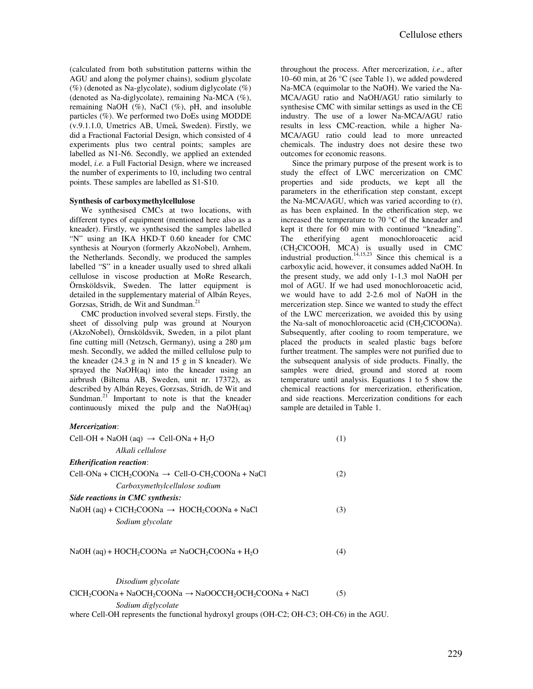(calculated from both substitution patterns within the AGU and along the polymer chains), sodium glycolate  $(\%)$  (denoted as Na-glycolate), sodium diglycolate  $(\%)$ (denoted as Na-diglycolate), remaining Na-MCA (%), remaining NaOH  $(\%)$ , NaCl  $(\%)$ , pH, and insoluble particles (%). We performed two DoEs using MODDE (v.9.1.1.0, Umetrics AB, Umeå, Sweden). Firstly, we did a Fractional Factorial Design, which consisted of 4 experiments plus two central points; samples are labelled as N1-N6. Secondly, we applied an extended model, *i.e.* a Full Factorial Design, where we increased the number of experiments to 10, including two central points. These samples are labelled as S1-S10.

#### **Synthesis of carboxymethylcellulose**

We synthesised CMCs at two locations, with different types of equipment (mentioned here also as a kneader). Firstly, we synthesised the samples labelled "N" using an IKA HKD-T 0.60 kneader for CMC synthesis at Nouryon (formerly AkzoNobel), Arnhem, the Netherlands. Secondly, we produced the samples labelled "S" in a kneader usually used to shred alkali cellulose in viscose production at MoRe Research, Örnsköldsvik, Sweden. The latter equipment is detailed in the supplementary material of Albán Reyes, Gorzsas, Stridh, de Wit and Sundman.<sup>21</sup>

CMC production involved several steps. Firstly, the sheet of dissolving pulp was ground at Nouryon (AkzoNobel), Örnsköldsvik, Sweden, in a pilot plant fine cutting mill (Netzsch, Germany), using a 280 µm mesh. Secondly, we added the milled cellulose pulp to the kneader (24.3 g in N and 15 g in S kneader). We sprayed the NaOH(aq) into the kneader using an airbrush (Biltema AB, Sweden, unit nr. 17372), as described by Albán Reyes, Gorzsas, Stridh, de Wit and Sundman.<sup>21</sup> Important to note is that the kneader continuously mixed the pulp and the NaOH(aq)

throughout the process. After mercerization, *i.e*., after 10–60 min, at 26 °C (see Table 1), we added powdered Na-MCA (equimolar to the NaOH). We varied the Na-MCA/AGU ratio and NaOH/AGU ratio similarly to synthesise CMC with similar settings as used in the CE industry. The use of a lower Na-MCA/AGU ratio results in less CMC-reaction, while a higher Na-MCA/AGU ratio could lead to more unreacted chemicals. The industry does not desire these two outcomes for economic reasons.

Since the primary purpose of the present work is to study the effect of LWC mercerization on CMC properties and side products, we kept all the parameters in the etherification step constant, except the Na-MCA/AGU, which was varied according to (r), as has been explained. In the etherification step, we increased the temperature to 70 °C of the kneader and kept it there for 60 min with continued "kneading". The etherifying agent monochloroacetic acid  $(CH_2CICOOH, MCA)$  is usually used in CMC industrial production.<sup>14,15,23</sup> Since this chemical is a carboxylic acid, however, it consumes added NaOH. In the present study, we add only 1-1.3 mol NaOH per mol of AGU. If we had used monochloroacetic acid, we would have to add 2-2.6 mol of NaOH in the mercerization step. Since we wanted to study the effect of the LWC mercerization, we avoided this by using the Na-salt of monochloroacetic acid (CH<sub>2</sub>ClCOONa). Subsequently, after cooling to room temperature, we placed the products in sealed plastic bags before further treatment. The samples were not purified due to the subsequent analysis of side products. Finally, the samples were dried, ground and stored at room temperature until analysis. Equations 1 to 5 show the chemical reactions for mercerization, etherification, and side reactions. Mercerization conditions for each sample are detailed in Table 1.

#### *Mercerization*:

| Cell-OH + NaOH (aq) $\rightarrow$ Cell-ONa + H <sub>2</sub> O                        |     |  |
|--------------------------------------------------------------------------------------|-----|--|
| Alkali cellulose                                                                     |     |  |
| <b>Etherification reaction:</b>                                                      |     |  |
| Cell-ONa + ClCH <sub>2</sub> COONa $\rightarrow$ Cell-O-CH <sub>2</sub> COONa + NaCl | (2) |  |
| Carboxymethylcellulose sodium                                                        |     |  |
| Side reactions in CMC synthesis:                                                     |     |  |
| NaOH (aq) + ClCH <sub>2</sub> COONa $\rightarrow$ HOCH <sub>2</sub> COONa + NaCl     | (3) |  |
| Sodium glycolate                                                                     |     |  |
|                                                                                      |     |  |

## $NaOH (aq) + HOCH_2COONa \rightleftharpoons NaOCH_2COONa + H_2O$  (4)

*Disodium glycolate*   $CICH_2COONa + NaOCH_2COONa \rightarrow NaOOCCH_2OCH_2COONa + NaCl$  (5) *Sodium diglycolate*  where Cell-OH represents the functional hydroxyl groups (OH-C2; OH-C3; OH-C6) in the AGU.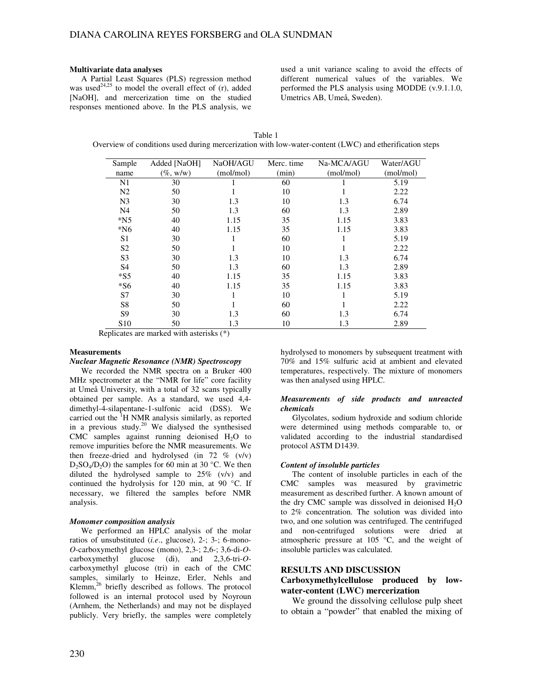#### **Multivariate data analyses**

A Partial Least Squares (PLS) regression method was used<sup>24,25</sup> to model the overall effect of  $(r)$ , added [NaOH], and mercerization time on the studied responses mentioned above. In the PLS analysis, we

used a unit variance scaling to avoid the effects of different numerical values of the variables. We performed the PLS analysis using MODDE (v.9.1.1.0, Umetrics AB, Umeå, Sweden).

| Table 1                                                                                                |
|--------------------------------------------------------------------------------------------------------|
| Overview of conditions used during mercerization with low-water-content (LWC) and etherification steps |

| Sample          | Added [NaOH] | NaOH/AGU  | Merc. time | Na-MCA/AGU | Water/AGU |
|-----------------|--------------|-----------|------------|------------|-----------|
| name            | $(\%$ , w/w) | (mol/mol) | (min)      | (mol/mol)  | (mol/mol) |
| N1              | 30           |           | 60         |            | 5.19      |
| N <sub>2</sub>  | 50           |           | 10         |            | 2.22      |
| N <sub>3</sub>  | 30           | 1.3       | 10         | 1.3        | 6.74      |
| N <sub>4</sub>  | 50           | 1.3       | 60         | 1.3        | 2.89      |
| $*N5$           | 40           | 1.15      | 35         | 1.15       | 3.83      |
| $*N6$           | 40           | 1.15      | 35         | 1.15       | 3.83      |
| S <sub>1</sub>  | 30           |           | 60         |            | 5.19      |
| S <sub>2</sub>  | 50           |           | 10         |            | 2.22      |
| S <sub>3</sub>  | 30           | 1.3       | 10         | 1.3        | 6.74      |
| S <sub>4</sub>  | 50           | 1.3       | 60         | 1.3        | 2.89      |
| $*$ S5          | 40           | 1.15      | 35         | 1.15       | 3.83      |
| $*$ S6          | 40           | 1.15      | 35         | 1.15       | 3.83      |
| S7              | 30           |           | 10         |            | 5.19      |
| S <sub>8</sub>  | 50           |           | 60         |            | 2.22      |
| S <sub>9</sub>  | 30           | 1.3       | 60         | 1.3        | 6.74      |
| S <sub>10</sub> | 50           | 1.3       | 10         | 1.3        | 2.89      |

Replicates are marked with asterisks (\*)

#### **Measurements**

#### *Nuclear Magnetic Resonance (NMR) Spectroscopy*

We recorded the NMR spectra on a Bruker 400 MHz spectrometer at the "NMR for life" core facility at Umeå University, with a total of 32 scans typically obtained per sample. As a standard, we used 4,4 dimethyl-4-silapentane-1-sulfonic acid (DSS). We carried out the <sup>1</sup>H NMR analysis similarly, as reported in a previous study.<sup>20</sup> We dialysed the synthesised  $CMC$  samples against running deionised  $H<sub>2</sub>O$  to remove impurities before the NMR measurements. We then freeze-dried and hydrolysed (in  $72\%$  (v/v)  $D_2SO_4/D_2O$ ) the samples for 60 min at 30 °C. We then diluted the hydrolysed sample to 25% (v/v) and continued the hydrolysis for 120 min, at 90 °C. If necessary, we filtered the samples before NMR analysis.

#### *Monomer composition analysis*

We performed an HPLC analysis of the molar ratios of unsubstituted (*i.e*., glucose), 2-; 3-; 6-mono-*O*-carboxymethyl glucose (mono), 2,3-; 2,6-; 3,6-di-*O*carboxymethyl glucose (di), and 2,3,6-tri-*O*carboxymethyl glucose (tri) in each of the CMC samples, similarly to Heinze, Erler, Nehls and Klemm, $^{26}$  briefly described as follows. The protocol followed is an internal protocol used by Noyroun (Arnhem, the Netherlands) and may not be displayed publicly. Very briefly, the samples were completely

hydrolysed to monomers by subsequent treatment with 70% and 15% sulfuric acid at ambient and elevated temperatures, respectively. The mixture of monomers was then analysed using HPLC.

#### *Measurements of side products and unreacted chemicals*

Glycolates, sodium hydroxide and sodium chloride were determined using methods comparable to, or validated according to the industrial standardised protocol ASTM D1439.

## *Content of insoluble particles*

The content of insoluble particles in each of the CMC samples was measured by gravimetric measurement as described further. A known amount of the dry CMC sample was dissolved in deionised  $H_2O$ to 2% concentration. The solution was divided into two, and one solution was centrifuged. The centrifuged and non-centrifuged solutions were dried at atmospheric pressure at 105 °C, and the weight of insoluble particles was calculated.

## **RESULTS AND DISCUSSION**

# **Carboxymethylcellulose produced by lowwater-content (LWC) mercerization**

We ground the dissolving cellulose pulp sheet to obtain a "powder" that enabled the mixing of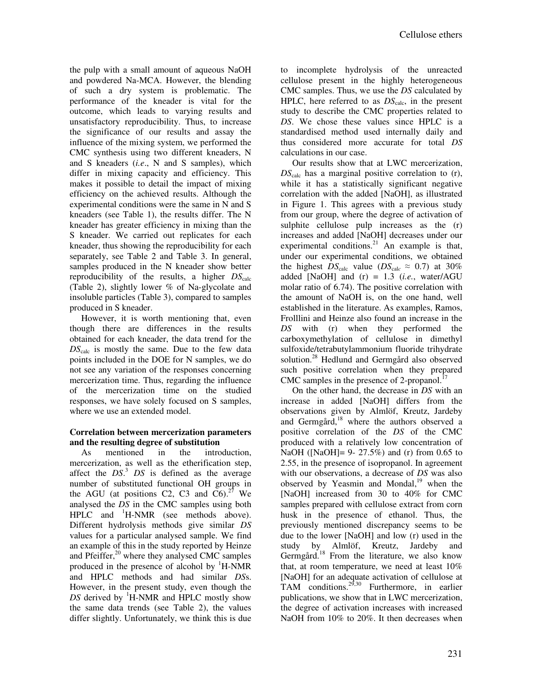the pulp with a small amount of aqueous NaOH and powdered Na-MCA. However, the blending of such a dry system is problematic. The performance of the kneader is vital for the outcome, which leads to varying results and unsatisfactory reproducibility. Thus, to increase the significance of our results and assay the influence of the mixing system, we performed the CMC synthesis using two different kneaders, N and S kneaders (*i.e*., N and S samples), which differ in mixing capacity and efficiency. This makes it possible to detail the impact of mixing efficiency on the achieved results. Although the experimental conditions were the same in N and S kneaders (see Table 1), the results differ. The N kneader has greater efficiency in mixing than the S kneader. We carried out replicates for each kneader, thus showing the reproducibility for each separately, see Table 2 and Table 3. In general, samples produced in the N kneader show better reproducibility of the results, a higher  $DS<sub>calc</sub>$ (Table 2), slightly lower *%* of Na-glycolate and insoluble particles (Table 3), compared to samples produced in S kneader.

However, it is worth mentioning that, even though there are differences in the results obtained for each kneader, the data trend for the *DS*calc is mostly the same. Due to the few data points included in the DOE for N samples, we do not see any variation of the responses concerning mercerization time. Thus, regarding the influence of the mercerization time on the studied responses, we have solely focused on S samples, where we use an extended model.

# **Correlation between mercerization parameters and the resulting degree of substitution**

As mentioned in the introduction, mercerization, as well as the etherification step, affect the *DS*. <sup>3</sup> *DS* is defined as the average number of substituted functional OH groups in the AGU (at positions C2, C3 and C6).<sup>27</sup> We analysed the *DS* in the CMC samples using both HPLC and <sup>1</sup>H-NMR (see methods above). Different hydrolysis methods give similar *DS* values for a particular analysed sample. We find an example of this in the study reported by Heinze and Pfeiffer,<sup>20</sup> where they analysed CMC samples produced in the presence of alcohol by  ${}^{1}$ H-NMR and HPLC methods and had similar *DS*s. However, in the present study, even though the *DS* derived by <sup>1</sup>H-NMR and HPLC mostly show the same data trends (see Table 2), the values differ slightly. Unfortunately, we think this is due

to incomplete hydrolysis of the unreacted cellulose present in the highly heterogeneous CMC samples. Thus, we use the *DS* calculated by HPLC, here referred to as  $DS<sub>calc</sub>$ , in the present study to describe the CMC properties related to *DS*. We chose these values since HPLC is a standardised method used internally daily and thus considered more accurate for total *DS* calculations in our case.

Our results show that at LWC mercerization, *DS*calc has a marginal positive correlation to (r), while it has a statistically significant negative correlation with the added [NaOH], as illustrated in Figure 1. This agrees with a previous study from our group, where the degree of activation of sulphite cellulose pulp increases as the  $(r)$ increases and added [NaOH] decreases under our experimental conditions.<sup>21</sup> An example is that, under our experimental conditions, we obtained the highest  $DS_{\text{calc}}$  value ( $DS_{\text{calc}} \approx 0.7$ ) at 30% added [NaOH] and (r) = 1.3 (*i.e.*, water/AGU molar ratio of 6.74). The positive correlation with the amount of NaOH is, on the one hand, well established in the literature. As examples, Ramos, Frolllini and Heinze also found an increase in the *DS* with (r) when they performed the carboxymethylation of cellulose in dimethyl sulfoxide/tetrabutylammonium fluoride trihydrate solution.<sup>28</sup> Hedlund and Germgård also observed such positive correlation when they prepared CMC samples in the presence of 2-propanol. $^{17}$ 

On the other hand, the decrease in *DS* with an increase in added [NaOH] differs from the observations given by Almlöf, Kreutz, Jardeby and Germgård,<sup>18</sup> where the authors observed a positive correlation of the *DS* of the CMC produced with a relatively low concentration of NaOH ([NaOH]= 9- 27.5%) and (r) from 0.65 to 2.55, in the presence of isopropanol. In agreement with our observations, a decrease of *DS* was also observed by Yeasmin and Mondal, $19$  when the [NaOH] increased from 30 to 40% for CMC samples prepared with cellulose extract from corn husk in the presence of ethanol. Thus, the previously mentioned discrepancy seems to be due to the lower [NaOH] and low (r) used in the study by Almlöf, Kreutz, Jardeby and Germgård.<sup>18</sup> From the literature, we also know that, at room temperature, we need at least 10% [NaOH] for an adequate activation of cellulose at TAM conditions.  $2^{9,30}$  Furthermore, in earlier publications, we show that in LWC mercerization, the degree of activation increases with increased NaOH from 10% to 20%. It then decreases when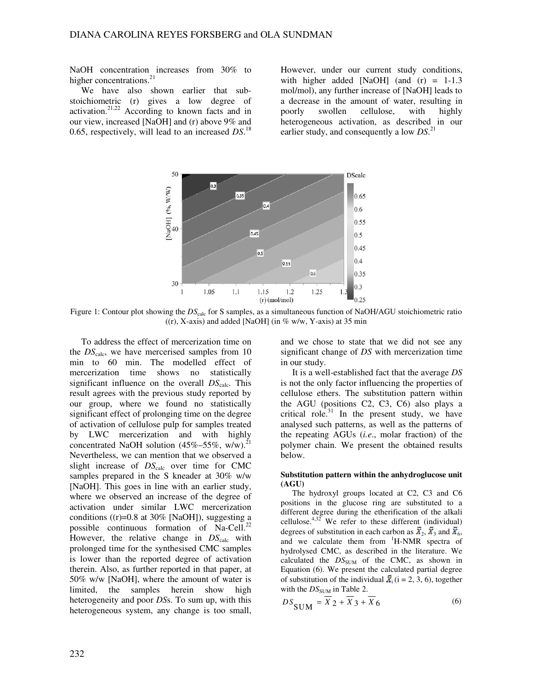NaOH concentration increases from 30% to higher concentrations.<sup>21</sup>

We have also shown earlier that substoichiometric (r) gives a low degree of activation.<sup>21,22</sup> According to known facts and in our view, increased [NaOH] and (r) above 9% and 0.65, respectively, will lead to an increased *DS*. 18

However, under our current study conditions, with higher added [NaOH] (and  $(r) = 1-1.3$ mol/mol), any further increase of [NaOH] leads to a decrease in the amount of water, resulting in poorly swollen cellulose, with highly heterogeneous activation, as described in our earlier study, and consequently a low *DS*. 21



Figure 1: Contour plot showing the  $DS<sub>calc</sub>$  for S samples, as a simultaneous function of NaOH/AGU stoichiometric ratio  $((r), X-axis)$  and added [NaOH] (in % w/w, Y-axis) at 35 min

To address the effect of mercerization time on the  $DS<sub>calc</sub>$ , we have mercerised samples from 10 min to 60 min. The modelled effect of mercerization time shows no statistically significant influence on the overall *DS*<sub>calc</sub>. This result agrees with the previous study reported by our group, where we found no statistically significant effect of prolonging time on the degree of activation of cellulose pulp for samples treated by LWC mercerization and with highly concentrated NaOH solution  $(45\% - 55\% , w/w).$ <sup>2</sup> Nevertheless, we can mention that we observed a slight increase of  $DS_{calc}$  over time for CMC samples prepared in the S kneader at 30% w/w [NaOH]. This goes in line with an earlier study, where we observed an increase of the degree of activation under similar LWC mercerization conditions ( $(r)=0.8$  at 30% [NaOH]), suggesting a possible continuous formation of Na-Cell.<sup>22</sup> However, the relative change in  $DS<sub>calc</sub>$  with prolonged time for the synthesised CMC samples is lower than the reported degree of activation therein. Also, as further reported in that paper, at 50% w/w [NaOH], where the amount of water is limited, the samples herein show high heterogeneity and poor *DS*s. To sum up, with this heterogeneous system, any change is too small,

and we chose to state that we did not see any significant change of *DS* with mercerization time in our study.

It is a well-established fact that the average *DS* is not the only factor influencing the properties of cellulose ethers. The substitution pattern within the AGU (positions C2, C3, C6) also plays a critical role. $31$  In the present study, we have analysed such patterns, as well as the patterns of the repeating AGUs (*i.e*., molar fraction) of the polymer chain. We present the obtained results below.

#### **Substitution pattern within the anhydroglucose unit (AGU)**

The hydroxyl groups located at C2, C3 and C6 positions in the glucose ring are substituted to a different degree during the etherification of the alkali cellulose. $4,32$  We refer to these different (individual) degrees of substitution in each carbon as  $X_2$ ,  $X_3$  and  $X_6$ , and we calculate them from <sup>1</sup>H-NMR spectra of hydrolysed CMC, as described in the literature. We calculated the  $DS<sub>SUM</sub>$  of the CMC, as shown in Equation (6). We present the calculated partial degree of substitution of the individual  $\overline{X}_i$  (i = 2, 3, 6), together with the  $DS_{\text{SUM}}$  in Table 2.

$$
DS_{\text{SUM}} = \overline{X}_2 + \overline{X}_3 + \overline{X}_6 \tag{6}
$$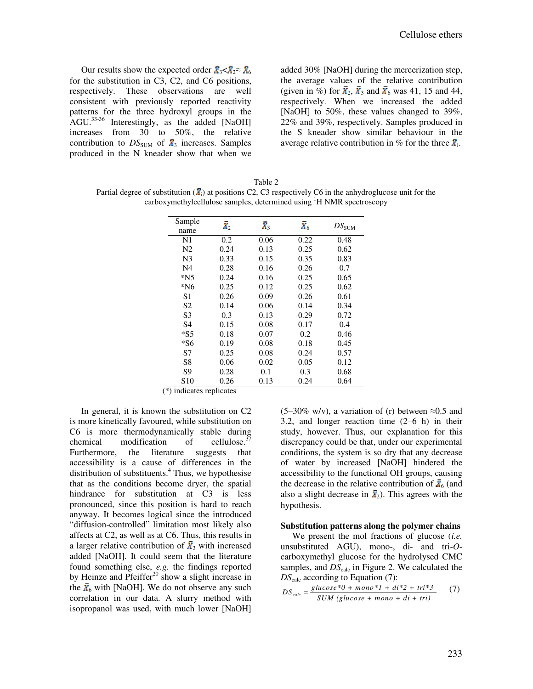Our results show the expected order  $\bar{X}_3 < \bar{X}_2 \approx \bar{X}_6$ for the substitution in C3, C2, and C6 positions, respectively. These observations are well consistent with previously reported reactivity patterns for the three hydroxyl groups in the AGU.33-36 Interestingly, as the added [NaOH] increases from 30 to 50%, the relative contribution to  $DS_{SUM}$  of  $\bar{x}_3$  increases. Samples produced in the N kneader show that when we added 30% [NaOH] during the mercerization step, the average values of the relative contribution (given in %) for  $\bar{\mathbf{x}}_2$ ,  $\bar{\mathbf{x}}_3$  and  $\bar{\mathbf{x}}_6$  was 41, 15 and 44, respectively. When we increased the added [NaOH] to 50%, these values changed to 39%, 22% and 39%, respectively. Samples produced in the S kneader show similar behaviour in the average relative contribution in % for the three  $\bar{x}_i$ .

Table 2 Partial degree of substitution ( $\vec{X}_i$ ) at positions C2, C3 respectively C6 in the anhydroglucose unit for the carboxymethylcellulose samples, determined using  ${}^{1}$ H NMR spectroscopy

| Sample          | $\bar{X}_2$ | $\bar{X}_3$ | $\bar{X}_6$ | $DS_{\rm SUM}$ |
|-----------------|-------------|-------------|-------------|----------------|
| name            |             |             |             |                |
| N <sub>1</sub>  | 0.2         | 0.06        | 0.22        | 0.48           |
| N <sub>2</sub>  | 0.24        | 0.13        | 0.25        | 0.62           |
| N <sub>3</sub>  | 0.33        | 0.15        | 0.35        | 0.83           |
| N <sub>4</sub>  | 0.28        | 0.16        | 0.26        | 0.7            |
| $*N5$           | 0.24        | 0.16        | 0.25        | 0.65           |
| $*$ N6          | 0.25        | 0.12        | 0.25        | 0.62           |
| S1              | 0.26        | 0.09        | 0.26        | 0.61           |
| S <sub>2</sub>  | 0.14        | 0.06        | 0.14        | 0.34           |
| S <sub>3</sub>  | 0.3         | 0.13        | 0.29        | 0.72           |
| S <sub>4</sub>  | 0.15        | 0.08        | 0.17        | 0.4            |
| $*$ S5          | 0.18        | 0.07        | 0.2         | 0.46           |
| $*$ S6          | 0.19        | 0.08        | 0.18        | 0.45           |
| S7              | 0.25        | 0.08        | 0.24        | 0.57           |
| S <sub>8</sub>  | 0.06        | 0.02        | 0.05        | 0.12           |
| S <sub>9</sub>  | 0.28        | 0.1         | 0.3         | 0.68           |
| S <sub>10</sub> | 0.26        | 0.13        | 0.24        | 0.64           |

(\*) indicates replicates

In general, it is known the substitution on C2 is more kinetically favoured, while substitution on C6 is more thermodynamically stable during chemical modification of cellulose.<sup>3</sup> Furthermore, the literature suggests that accessibility is a cause of differences in the distribution of substituents.<sup>4</sup> Thus, we hypothesise that as the conditions become dryer, the spatial hindrance for substitution at C3 is less pronounced, since this position is hard to reach anyway. It becomes logical since the introduced "diffusion-controlled" limitation most likely also affects at C2, as well as at C6. Thus, this results in a larger relative contribution of  $\bar{X}_3$  with increased added [NaOH]. It could seem that the literature found something else, *e.g.* the findings reported by Heinze and Pfeiffer<sup>20</sup> show a slight increase in the  $\bar{X}_6$  with [NaOH]. We do not observe any such correlation in our data. A slurry method with isopropanol was used, with much lower [NaOH]

 $(5-30\% \text{ w/v})$ , a variation of (r) between  $\approx 0.5$  and 3.2, and longer reaction time (2–6 h) in their study, however. Thus, our explanation for this discrepancy could be that, under our experimental conditions, the system is so dry that any decrease of water by increased [NaOH] hindered the accessibility to the functional OH groups, causing the decrease in the relative contribution of  $\bar{X}_6$  (and also a slight decrease in  $\bar{x}_2$ ). This agrees with the hypothesis.

## **Substitution patterns along the polymer chains**

We present the mol fractions of glucose (*i.e.* unsubstituted AGU), mono-, di- and tri-*O*carboxymethyl glucose for the hydrolysed CMC samples, and  $DS<sub>calc</sub>$  in Figure 2. We calculated the *DS*calc according to Equation (7):

$$
DS_{calc} = \frac{glucose*0 + mono*1 + di*2 + tri*3}{SUM (glucose + mono + di + tri)} \tag{7}
$$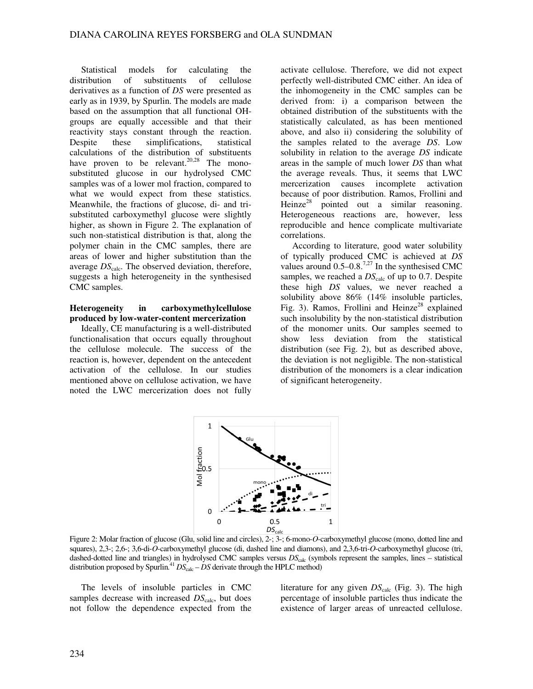Statistical models for calculating the distribution of substituents of cellulose derivatives as a function of *DS* were presented as early as in 1939, by Spurlin. The models are made based on the assumption that all functional OHgroups are equally accessible and that their reactivity stays constant through the reaction. Despite these simplifications, statistical calculations of the distribution of substituents have proven to be relevant.<sup>20,28</sup> The monosubstituted glucose in our hydrolysed CMC samples was of a lower mol fraction, compared to what we would expect from these statistics. Meanwhile, the fractions of glucose, di- and trisubstituted carboxymethyl glucose were slightly higher, as shown in Figure 2. The explanation of such non-statistical distribution is that, along the polymer chain in the CMC samples, there are areas of lower and higher substitution than the average  $DS<sub>calc</sub>$ . The observed deviation, therefore, suggests a high heterogeneity in the synthesised CMC samples.

# **Heterogeneity in carboxymethylcellulose produced by low-water-content mercerization**

Ideally, CE manufacturing is a well-distributed functionalisation that occurs equally throughout the cellulose molecule. The success of the reaction is, however, dependent on the antecedent activation of the cellulose. In our studies mentioned above on cellulose activation, we have noted the LWC mercerization does not fully

activate cellulose. Therefore, we did not expect perfectly well-distributed CMC either. An idea of the inhomogeneity in the CMC samples can be derived from: i) a comparison between the obtained distribution of the substituents with the statistically calculated, as has been mentioned above, and also ii) considering the solubility of the samples related to the average *DS*. Low solubility in relation to the average *DS* indicate areas in the sample of much lower *DS* than what the average reveals. Thus, it seems that LWC mercerization causes incomplete activation because of poor distribution. Ramos, Frollini and Heinze<sup>28</sup> pointed out a similar reasoning. Heterogeneous reactions are, however, less reproducible and hence complicate multivariate correlations.

According to literature, good water solubility of typically produced CMC is achieved at *DS* values around  $0.5-0.8$ .<sup>7,27</sup> In the synthesised CMC samples, we reached a  $DS<sub>calc</sub>$  of up to 0.7. Despite these high *DS* values, we never reached a solubility above 86% (14% insoluble particles, Fig. 3). Ramos, Frollini and Heinze<sup>28</sup> explained such insolubility by the non-statistical distribution of the monomer units. Our samples seemed to show less deviation from the statistical distribution (see Fig. 2), but as described above, the deviation is not negligible. The non-statistical distribution of the monomers is a clear indication of significant heterogeneity.



Figure 2: Molar fraction of glucose (Glu, solid line and circles), 2-; 3-; 6-mono-*O*-carboxymethyl glucose (mono, dotted line and squares), 2,3-; 2,6-; 3,6-di-*O*-carboxymethyl glucose (di, dashed line and diamons), and 2,3,6-tri-*O*-carboxymethyl glucose (tri, dashed-dotted line and triangles) in hydrolysed CMC samples versus  $DS_{calc}$  (symbols represent the samples, lines – statistical distribution proposed by Spurlin.<sup>41</sup>  $DS<sub>calc</sub> - DS$  derivate through the HPLC method)

The levels of insoluble particles in CMC samples decrease with increased  $DS<sub>calc</sub>$ , but does not follow the dependence expected from the literature for any given  $DS<sub>calc</sub>$  (Fig. 3). The high percentage of insoluble particles thus indicate the existence of larger areas of unreacted cellulose.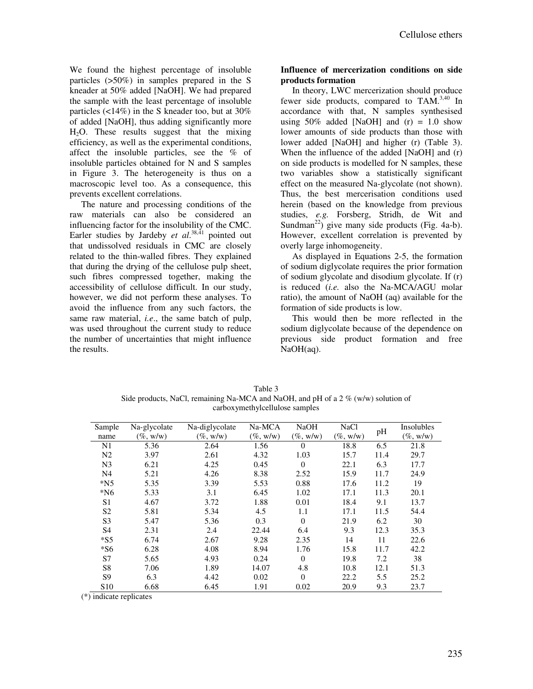We found the highest percentage of insoluble particles (>50%) in samples prepared in the S kneader at 50% added [NaOH]. We had prepared the sample with the least percentage of insoluble particles (<14%) in the S kneader too, but at 30% of added [NaOH], thus adding significantly more  $H<sub>2</sub>O$ . These results suggest that the mixing efficiency, as well as the experimental conditions, affect the insoluble particles, see the % of insoluble particles obtained for N and S samples in Figure 3. The heterogeneity is thus on a macroscopic level too. As a consequence, this prevents excellent correlations.

The nature and processing conditions of the raw materials can also be considered an influencing factor for the insolubility of the CMC. Earler studies by Jardeby *et al.*<sup>38,41</sup> pointed out that undissolved residuals in CMC are closely related to the thin-walled fibres. They explained that during the drying of the cellulose pulp sheet, such fibres compressed together, making the accessibility of cellulose difficult. In our study, however, we did not perform these analyses. To avoid the influence from any such factors, the same raw material, *i.e*., the same batch of pulp, was used throughout the current study to reduce the number of uncertainties that might influence the results.

# **Influence of mercerization conditions on side products formation**

In theory, LWC mercerization should produce fewer side products, compared to TAM.3,40 In accordance with that, N samples synthesised using  $50\%$  added [NaOH] and (r) = 1.0 show lower amounts of side products than those with lower added [NaOH] and higher (r) (Table 3). When the influence of the added [NaOH] and (r) on side products is modelled for N samples, these two variables show a statistically significant effect on the measured Na-glycolate (not shown). Thus, the best mercerisation conditions used herein (based on the knowledge from previous studies, *e.g.* Forsberg, Stridh, de Wit and Sundman<sup>22</sup>) give many side products (Fig. 4a-b). However, excellent correlation is prevented by overly large inhomogeneity.

As displayed in Equations 2-5, the formation of sodium diglycolate requires the prior formation of sodium glycolate and disodium glycolate. If (r) is reduced (*i.e.* also the Na-MCA/AGU molar ratio), the amount of NaOH (aq) available for the formation of side products is low.

This would then be more reflected in the sodium diglycolate because of the dependence on previous side product formation and free NaOH(aq).

| Table 3                                                                             |
|-------------------------------------------------------------------------------------|
| Side products, NaCl, remaining Na-MCA and NaOH, and pH of a $2\%$ (w/w) solution of |
| carboxymethylcellulose samples                                                      |

| Sample<br>name  | Na-glycolate<br>$(\%$ , w/w) | Na-diglycolate<br>$(\%$ , w/w) | Na-MCA<br>$(\%$ , w/w) | <b>NaOH</b><br>$(\%$ , w/w) | <b>NaCl</b><br>$(\%$ , w/w) | pH   | Insolubles<br>$(\%$ , w/w) |
|-----------------|------------------------------|--------------------------------|------------------------|-----------------------------|-----------------------------|------|----------------------------|
| N1              | 5.36                         | 2.64                           | 1.56                   | $\Omega$                    | 18.8                        | 6.5  | 21.8                       |
| N <sub>2</sub>  | 3.97                         | 2.61                           | 4.32                   | 1.03                        | 15.7                        | 11.4 | 29.7                       |
| N <sub>3</sub>  | 6.21                         | 4.25                           | 0.45                   | $\theta$                    | 22.1                        | 6.3  | 17.7                       |
| N <sub>4</sub>  | 5.21                         | 4.26                           | 8.38                   | 2.52                        | 15.9                        | 11.7 | 24.9                       |
| $*N5$           | 5.35                         | 3.39                           | 5.53                   | 0.88                        | 17.6                        | 11.2 | 19                         |
| $*$ N6          | 5.33                         | 3.1                            | 6.45                   | 1.02                        | 17.1                        | 11.3 | 20.1                       |
| S <sub>1</sub>  | 4.67                         | 3.72                           | 1.88                   | 0.01                        | 18.4                        | 9.1  | 13.7                       |
| S <sub>2</sub>  | 5.81                         | 5.34                           | 4.5                    | 1.1                         | 17.1                        | 11.5 | 54.4                       |
| S <sub>3</sub>  | 5.47                         | 5.36                           | 0.3                    | $\theta$                    | 21.9                        | 6.2  | 30                         |
| S <sub>4</sub>  | 2.31                         | 2.4                            | 22.44                  | 6.4                         | 9.3                         | 12.3 | 35.3                       |
| $*$ S5          | 6.74                         | 2.67                           | 9.28                   | 2.35                        | 14                          | 11   | 22.6                       |
| $*$ S6          | 6.28                         | 4.08                           | 8.94                   | 1.76                        | 15.8                        | 11.7 | 42.2                       |
| S7              | 5.65                         | 4.93                           | 0.24                   | $\theta$                    | 19.8                        | 7.2  | 38                         |
| S <sub>8</sub>  | 7.06                         | 1.89                           | 14.07                  | 4.8                         | 10.8                        | 12.1 | 51.3                       |
| S <sub>9</sub>  | 6.3                          | 4.42                           | 0.02                   | $\Omega$                    | 22.2                        | 5.5  | 25.2                       |
| S <sub>10</sub> | 6.68                         | 6.45                           | 1.91                   | 0.02                        | 20.9                        | 9.3  | 23.7                       |

(\*) indicate replicates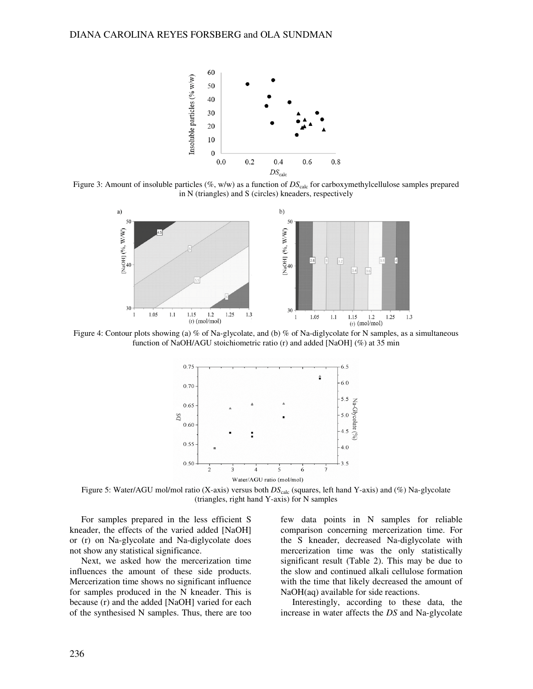

Figure 3: Amount of insoluble particles (%, w/w) as a function of  $DS_{calc}$  for carboxymethylcellulose samples prepared in N (triangles) and S (circles) kneaders, respectively



Figure 4: Contour plots showing (a) % of Na-glycolate, and (b) % of Na-diglycolate for N samples, as a simultaneous function of NaOH/AGU stoichiometric ratio (r) and added [NaOH] (%) at 35 min



Figure 5: Water/AGU mol/mol ratio (X-axis) versus both  $DS_{\text{calc}}$  (squares, left hand Y-axis) and (%) Na-glycolate (triangles, right hand Y-axis) for N samples

For samples prepared in the less efficient S kneader, the effects of the varied added [NaOH] or (r) on Na-glycolate and Na-diglycolate does not show any statistical significance.

Next, we asked how the mercerization time influences the amount of these side products. Mercerization time shows no significant influence for samples produced in the N kneader. This is because (r) and the added [NaOH] varied for each of the synthesised N samples. Thus, there are too

few data points in N samples for reliable comparison concerning mercerization time. For the S kneader, decreased Na-diglycolate with mercerization time was the only statistically significant result (Table 2). This may be due to the slow and continued alkali cellulose formation with the time that likely decreased the amount of NaOH(aq) available for side reactions.

Interestingly, according to these data, the increase in water affects the *DS* and Na-glycolate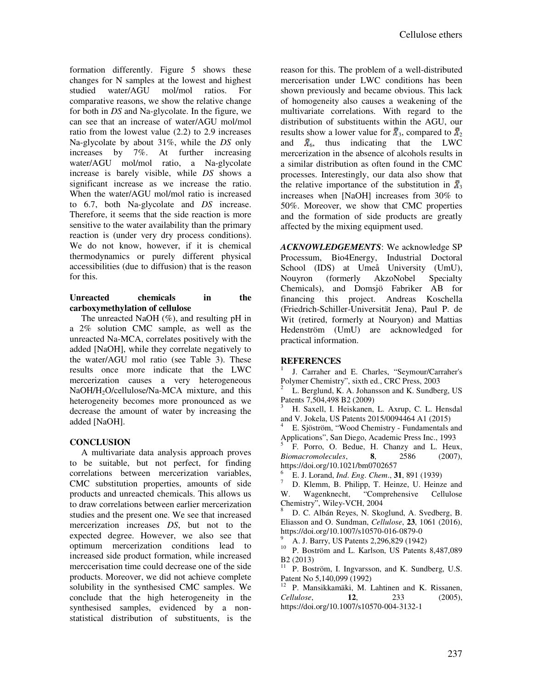formation differently. Figure 5 shows these changes for N samples at the lowest and highest studied water/AGU mol/mol ratios. For comparative reasons, we show the relative change for both in *DS* and Na-glycolate. In the figure, we can see that an increase of water/AGU mol/mol ratio from the lowest value (2.2) to 2.9 increases Na-glycolate by about 31%, while the *DS* only increases by 7%. At further increasing water/AGU mol/mol ratio, a Na-glycolate increase is barely visible, while *DS* shows a significant increase as we increase the ratio. When the water/AGU mol/mol ratio is increased to 6.7, both Na-glycolate and *DS* increase. Therefore, it seems that the side reaction is more sensitive to the water availability than the primary reaction is (under very dry process conditions). We do not know, however, if it is chemical thermodynamics or purely different physical accessibilities (due to diffusion) that is the reason for this.

# **Unreacted chemicals in the carboxymethylation of cellulose**

The unreacted NaOH (%), and resulting pH in a 2% solution CMC sample, as well as the unreacted Na-MCA, correlates positively with the added [NaOH], while they correlate negatively to the water/AGU mol ratio (see Table 3). These results once more indicate that the LWC mercerization causes a very heterogeneous NaOH/H<sub>2</sub>O/cellulose/Na-MCA mixture, and this heterogeneity becomes more pronounced as we decrease the amount of water by increasing the added [NaOH].

# **CONCLUSION**

A multivariate data analysis approach proves to be suitable, but not perfect, for finding correlations between mercerization variables, CMC substitution properties, amounts of side products and unreacted chemicals. This allows us to draw correlations between earlier mercerization studies and the present one. We see that increased mercerization increases *DS*, but not to the expected degree. However, we also see that optimum mercerization conditions lead to increased side product formation, while increased merccerisation time could decrease one of the side products. Moreover, we did not achieve complete solubility in the synthesised CMC samples. We conclude that the high heterogeneity in the synthesised samples, evidenced by a nonstatistical distribution of substituents, is the

reason for this. The problem of a well-distributed mercerisation under LWC conditions has been shown previously and became obvious. This lack of homogeneity also causes a weakening of the multivariate correlations. With regard to the distribution of substituents within the AGU, our results show a lower value for  $\bar{\mathbf{x}}_3$ , compared to  $\bar{\mathbf{x}}_2$ and  $\bar{X}_6$ , thus indicating that the LWC mercerization in the absence of alcohols results in a similar distribution as often found in the CMC processes. Interestingly, our data also show that the relative importance of the substitution in  $\bar{x}_3$ increases when [NaOH] increases from 30% to 50%. Moreover, we show that CMC properties and the formation of side products are greatly affected by the mixing equipment used.

*ACKNOWLEDGEMENTS*: We acknowledge SP Processum, Bio4Energy, Industrial Doctoral School (IDS) at Umeå University (UmU), Nouyron (formerly AkzoNobel Specialty Chemicals), and Domsjö Fabriker AB for financing this project. Andreas Koschella (Friedrich-Schiller-Universität Jena), Paul P. de Wit (retired, formerly at Nouryon) and Mattias Hedenström (UmU) are acknowledged for practical information.

# **REFERENCES**

1 J. Carraher and E. Charles, "Seymour/Carraher's Polymer Chemistry", sixth ed., CRC Press, 2003

2 L. Berglund, K. A. Johansson and K. Sundberg, US Patents 7,504,498 B2 (2009)

3 H. Saxell, I. Heiskanen, L. Axrup, C. L. Hensdal and V. Jokela, US Patents 2015/0094464 A1 (2015)

4 E. Sjöström, "Wood Chemistry - Fundamentals and

Applications", San Diego, Academic Press Inc., 1993<br>  $\frac{5}{5}$  E. Perso, O. Pedue, H. Chanzy, and J. Hou F. Porro, O. Bedue, H. Chanzy and L. Heux, *Biomacromolecules*, **8**, 2586 (2007), https://doi.org/10.1021/bm0702657

6 E. J. Lorand, *Ind*. *Eng*. *Chem*., **31**, 891 (1939)

7 D. Klemm, B. Philipp, T. Heinze, U. Heinze and W. Wagenknecht, "Comprehensive Cellulose Chemistry", Wiley-VCH, 2004

8 D. C. Albán Reyes, N. Skoglund, A. Svedberg, B. Eliasson and O. Sundman, *Cellulose*, **23**, 1061 (2016), https://doi.org/10.1007/s10570-016-0879-0

9 A. J. Barry, US Patents 2,296,829 (1942)

<sup>10</sup> P. Boström and L. Karlson, US Patents 8,487,089 B2 (2013)

<sup>11</sup> P. Boström, I. Ingvarsson, and K. Sundberg, U.S. Patent No 5,140,099 (1992)

<sup>12</sup> P. Mansikkamäki, M. Lahtinen and K. Rissanen, *Cellulose*, **12**, 233 (2005), https://doi.org/10.1007/s10570-004-3132-1